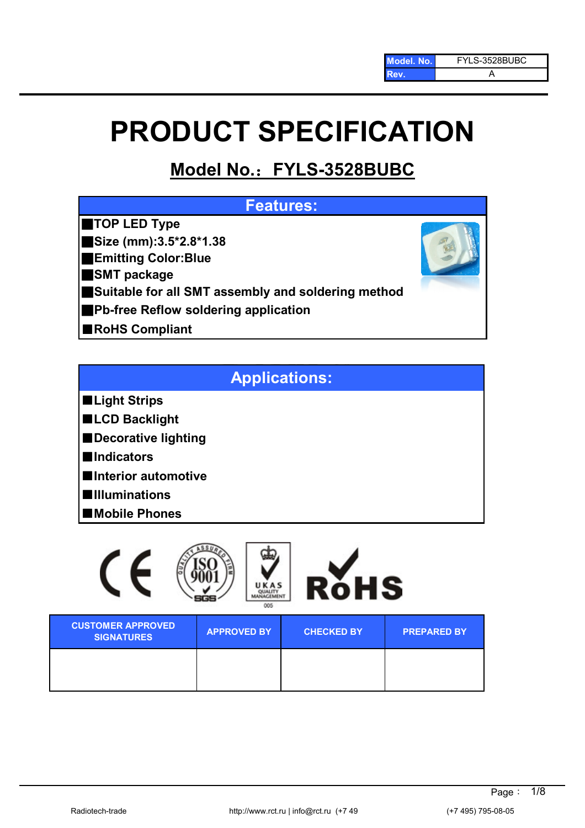# **PRODUCT SPECIFICATION**

# **Model No.**:**FYLS-3528BUBC**

# **Features:**

- ■**TOP LED Type**
- ■**Size (mm):3.5\*2.8\*1.38**
- ■**Emitting Color:Blue**
- ■**SMT package**
- ■**Suitable for all SMT assembly and soldering method**
- ■**Pb-free Reflow soldering application**
- ■**RoHS Compliant**

# **Applications:**

- ■**Light Strips**
- ■**LCD Backlight**
- ■**Decorative lighting**
- ■**Indicators**
- ■**Interior automotive**
- ■**Illuminations**
- ■**Mobile Phones**

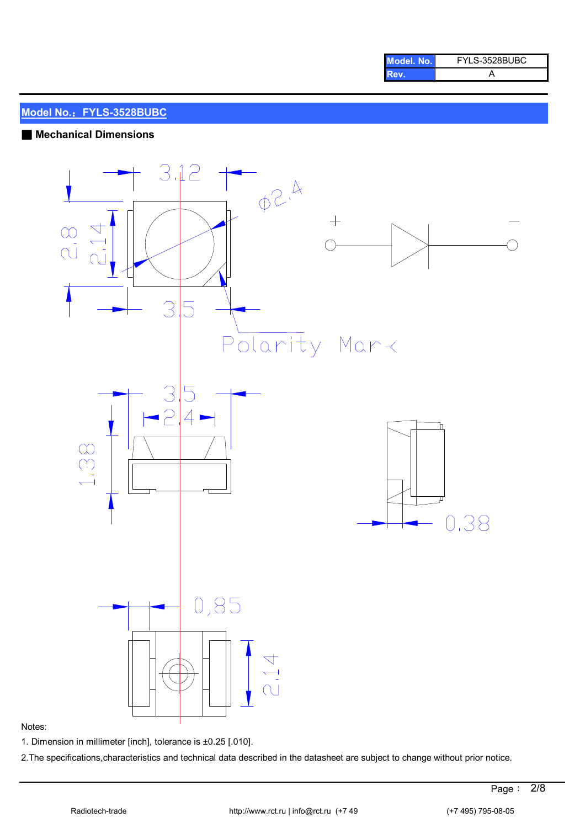| Model, No. | FYLS-3528BUBC |
|------------|---------------|
| Rev.       |               |

#### ■ **Mechanical Dimensions**



#### Notes:

1. Dimension in millimeter [inch], tolerance is ±0.25 [.010].

2.The specifications,characteristics and technical data described in the datasheet are subject to change without prior notice.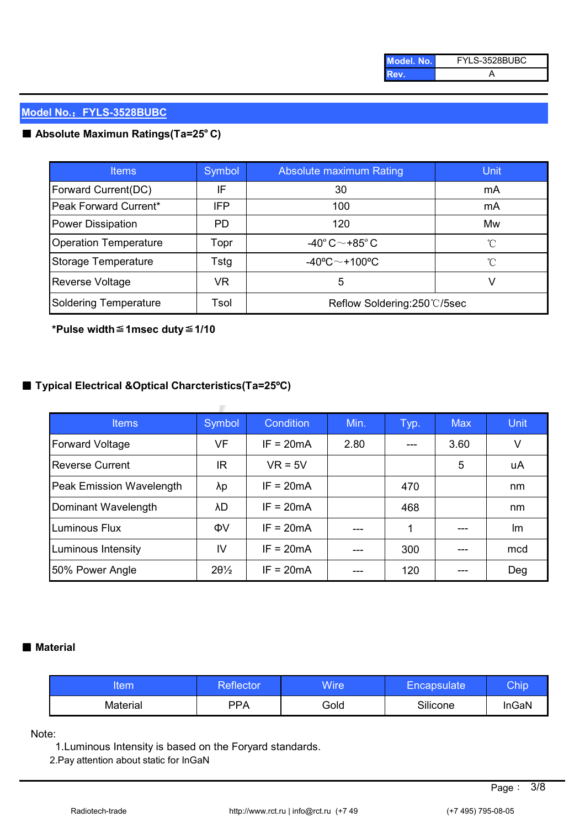| Model, No. | FYLS-3528BUBC |
|------------|---------------|
| Rev.       |               |

# ■ Absolute Maximun Ratings(Ta=25°C)

| <b>Items</b>                 | Symbol     | Absolute maximum Rating                  | Unit         |
|------------------------------|------------|------------------------------------------|--------------|
| Forward Current(DC)          | IF         | 30                                       | mA           |
| Peak Forward Current*        | <b>IFP</b> | 100                                      | mA           |
| Power Dissipation            | PD.        | 120                                      | Mw           |
| <b>Operation Temperature</b> | Topr       | -40 $^{\circ}$ C $\sim$ +85 $^{\circ}$ C | °C           |
| Storage Temperature          | Tstg       | $-40^{\circ}$ C $\sim$ +100°C            | $^{\circ}$ C |
| <b>Reverse Voltage</b>       | VR         | 5                                        |              |
| Soldering Temperature        | Tsol       | Reflow Soldering:250°C/5sec              |              |

**\*Pulse width**≦**1msec duty**≦**1/10**

# ■ **Typical Electrical &Optical Charcteristics(Ta=25ºC)**

| <b>Items</b>             | Symbol          | Condition   | Min. | Typ. | <b>Max</b> | <b>Unit</b> |
|--------------------------|-----------------|-------------|------|------|------------|-------------|
| Forward Voltage          | VF              | $IF = 20mA$ | 2.80 |      | 3.60       | V           |
| <b>Reverse Current</b>   | IR              | $VR = 5V$   |      |      | 5          | uA          |
| Peak Emission Wavelength | λp              | $IF = 20mA$ |      | 470  |            | nm          |
| Dominant Wavelength      | λD              | $IF = 20mA$ |      | 468  |            | nm          |
| Luminous Flux            | ΦV              | $IF = 20mA$ | ---  | 1    |            | lm          |
| Luminous Intensity       | IV              | $IF = 20mA$ | ---  | 300  |            | mcd         |
| 50% Power Angle          | $20\frac{1}{2}$ | $IF = 20mA$ |      | 120  |            | Deg         |

#### ■ Material

| tem      | Reflector | Wire | <b>Encapsulate</b> | Chip  |
|----------|-----------|------|--------------------|-------|
| Material | PPA       | Gold | Silicone           | InGaN |

Note:

1.Luminous Intensity is based on the Foryard standards.

2.Pay attention about static for InGaN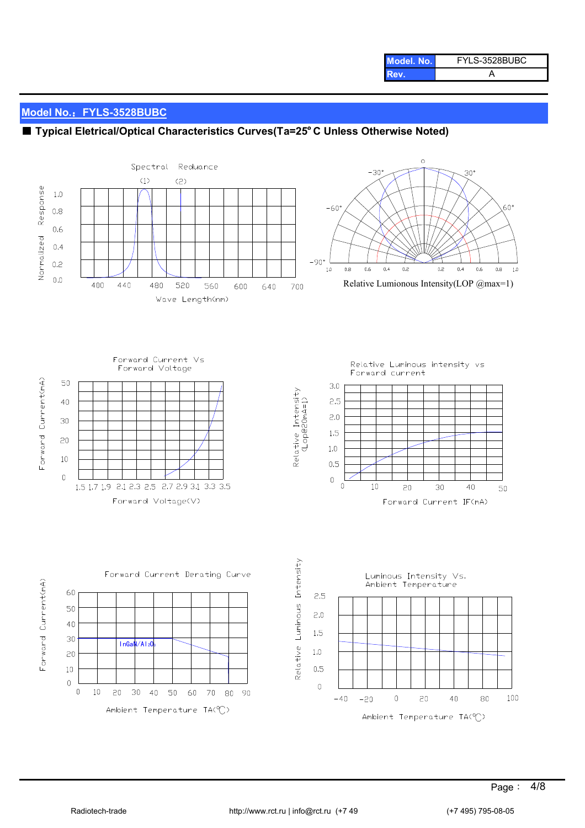| Model, No. | FYLS-3528BUBC |  |
|------------|---------------|--|
| Rev.       |               |  |

# ■ **Typical Eletrical/Optical Characteristics Curves(Ta=25°C Unless Otherwise Noted)**

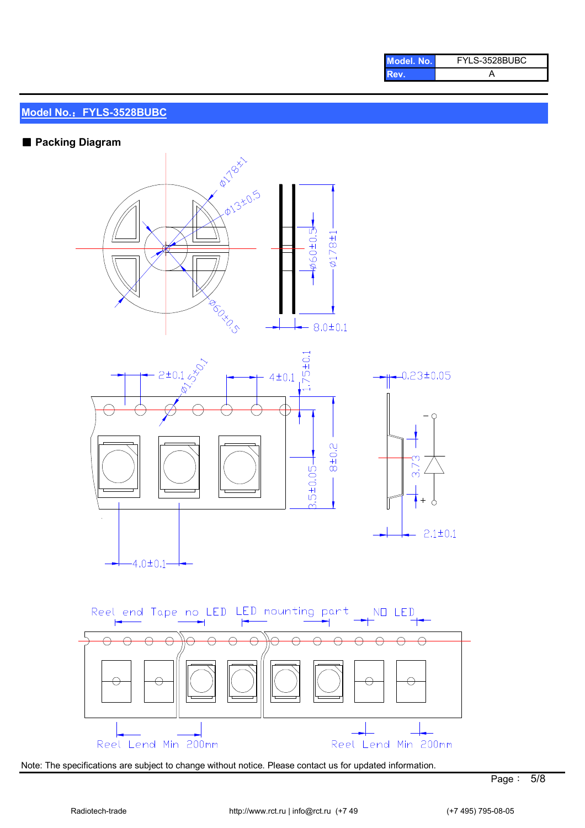| Model, No. | FYLS-3528BUBC |  |  |
|------------|---------------|--|--|
| Rev.       |               |  |  |

#### ■ Packing Diagram



Note: The specifications are subject to change without notice. Please contact us for updated information.

Reel Lend Min 200mm

Reel Lend Min 200mm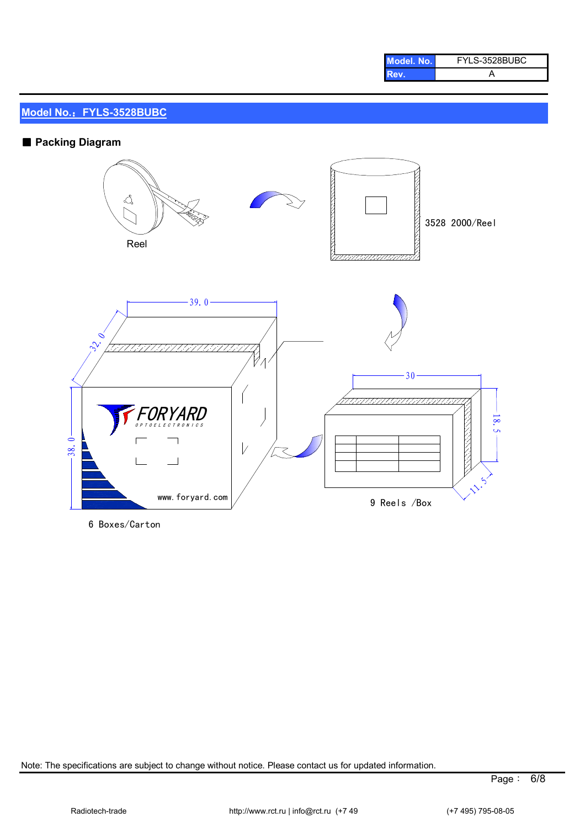| Model, No. | FYLS-3528BUBC |  |
|------------|---------------|--|
| Rev.       |               |  |

# ■ Packing Diagram



6 Boxes/Carton

Note: The specifications are subject to change without notice. Please contact us for updated information.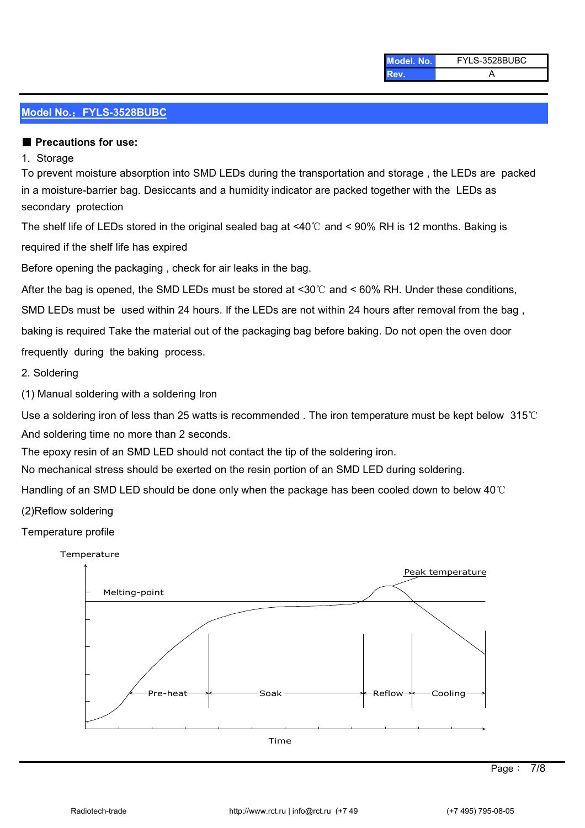| Model. No. | FYLS-3528BUBC |
|------------|---------------|
| Rev.       |               |

#### ■ Precautions for use:

#### 1. Storage

secondary protection To prevent moisture absorption into SMD LEDs during the transportation and storage , the LEDs are packed in a moisture-barrier bag. Desiccants and a humidity indicator are packed together with the LEDs as

required if the shelf life has expired The shelf life of LEDs stored in the original sealed bag at <40℃ and < 90% RH is 12 months. Baking is

Before opening the packaging , check for air leaks in the bag.

After the bag is opened, the SMD LEDs must be stored at  $\leq 30^{\circ}$  and  $\leq 60\%$  RH. Under these conditions,

SMD LEDs must be used within 24 hours. If the LEDs are not within 24 hours after removal from the bag ,

baking is required Take the material out of the packaging bag before baking. Do not open the oven door

frequently during the baking process.

2. Soldering

(1) Manual soldering with a soldering Iron

Use a soldering iron of less than 25 watts is recommended . The iron temperature must be kept below 315℃ And soldering time no more than 2 seconds.

The epoxy resin of an SMD LED should not contact the tip of the soldering iron.

No mechanical stress should be exerted on the resin portion of an SMD LED during soldering.

Handling of an SMD LED should be done only when the package has been cooled down to below 40℃

(2)Reflow soldering

#### Temperature profile